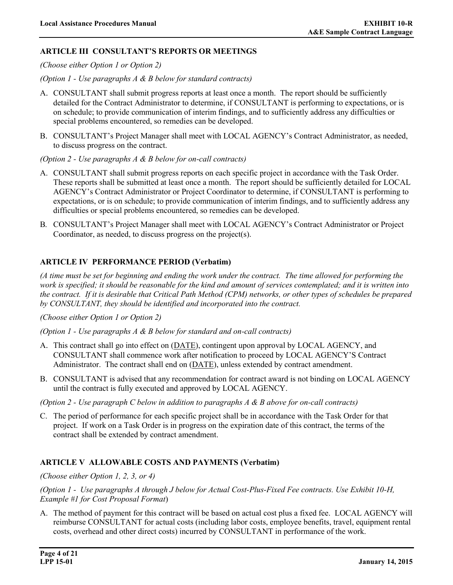## **ARTICLE III CONSULTANT'S REPORTS OR MEETINGS**

*(Choose either Option 1 or Option 2)* 

*(Option 1 - Use paragraphs A & B below for standard contracts)* 

- A. CONSULTANT shall submit progress reports at least once a month. The report should be sufficiently detailed for the Contract Administrator to determine, if CONSULTANT is performing to expectations, or is on schedule; to provide communication of interim findings, and to sufficiently address any difficulties or special problems encountered, so remedies can be developed.
- B. CONSULTANT's Project Manager shall meet with LOCAL AGENCY's Contract Administrator, as needed, to discuss progress on the contract.

#### *(Option 2 - Use paragraphs A & B below for on-call contracts)*

- A. CONSULTANT shall submit progress reports on each specific project in accordance with the Task Order. These reports shall be submitted at least once a month. The report should be sufficiently detailed for LOCAL AGENCY's Contract Administrator or Project Coordinator to determine, if CONSULTANT is performing to expectations, or is on schedule; to provide communication of interim findings, and to sufficiently address any difficulties or special problems encountered, so remedies can be developed.
- B*.* CONSULTANT's Project Manager shall meet with LOCAL AGENCY's Contract Administrator or Project Coordinator, as needed, to discuss progress on the project(s).

## **ARTICLE IV PERFORMANCE PERIOD (Verbatim)**

*(A time must be set for beginning and ending the work under the contract. The time allowed for performing the work is specified; it should be reasonable for the kind and amount of services contemplated; and it is written into the contract. If it is desirable that Critical Path Method (CPM) networks, or other types of schedules be prepared by CONSULTANT, they should be identified and incorporated into the contract.* 

*(Choose either Option 1 or Option 2)* 

*(Option 1 - Use paragraphs A & B below for standard and on-call contracts)* 

- A. This contract shall go into effect on (DATE), contingent upon approval by LOCAL AGENCY, and CONSULTANT shall commence work after notification to proceed by LOCAL AGENCY'S Contract Administrator. The contract shall end on (DATE), unless extended by contract amendment.
- B. CONSULTANT is advised that any recommendation for contract award is not binding on LOCAL AGENCY until the contract is fully executed and approved by LOCAL AGENCY.

*(Option 2 - Use paragraph C below in addition to paragraphs A & B above for on-call contracts)*

C. The period of performance for each specific project shall be in accordance with the Task Order for that project. If work on a Task Order is in progress on the expiration date of this contract, the terms of the contract shall be extended by contract amendment.

#### **ARTICLE V ALLOWABLE COSTS AND PAYMENTS (Verbatim)**

#### *(Choose either Option 1, 2, 3, or 4)*

*(Option 1 - Use paragraphs A through J below for Actual Cost-Plus-Fixed Fee contracts. Use Exhibit 10-H, Example #1 for Cost Proposal Format*)

A. The method of payment for this contract will be based on actual cost plus a fixed fee. LOCAL AGENCY will reimburse CONSULTANT for actual costs (including labor costs, employee benefits, travel, equipment rental costs, overhead and other direct costs) incurred by CONSULTANT in performance of the work.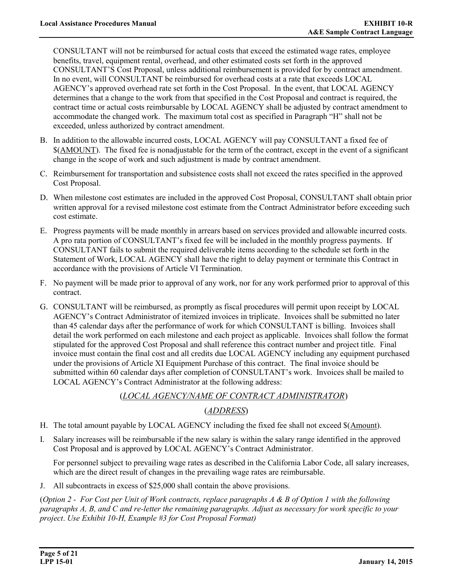CONSULTANT will not be reimbursed for actual costs that exceed the estimated wage rates, employee benefits, travel, equipment rental, overhead, and other estimated costs set forth in the approved CONSULTANT'S Cost Proposal, unless additional reimbursement is provided for by contract amendment. In no event, will CONSULTANT be reimbursed for overhead costs at a rate that exceeds LOCAL AGENCY's approved overhead rate set forth in the Cost Proposal. In the event, that LOCAL AGENCY determines that a change to the work from that specified in the Cost Proposal and contract is required, the contract time or actual costs reimbursable by LOCAL AGENCY shall be adjusted by contract amendment to accommodate the changed work. The maximum total cost as specified in Paragraph "H" shall not be exceeded, unless authorized by contract amendment.

- B. In addition to the allowable incurred costs, LOCAL AGENCY will pay CONSULTANT a fixed fee of \$(AMOUNT). The fixed fee is nonadjustable for the term of the contract, except in the event of a significant change in the scope of work and such adjustment is made by contract amendment.
- C. Reimbursement for transportation and subsistence costs shall not exceed the rates specified in the approved Cost Proposal.
- D. When milestone cost estimates are included in the approved Cost Proposal, CONSULTANT shall obtain prior written approval for a revised milestone cost estimate from the Contract Administrator before exceeding such cost estimate.
- E. Progress payments will be made monthly in arrears based on services provided and allowable incurred costs. A pro rata portion of CONSULTANT's fixed fee will be included in the monthly progress payments. If CONSULTANT fails to submit the required deliverable items according to the schedule set forth in the Statement of Work, LOCAL AGENCY shall have the right to delay payment or terminate this Contract in accordance with the provisions of Article VI Termination.
- F. No payment will be made prior to approval of any work, nor for any work performed prior to approval of this contract.
- G. CONSULTANT will be reimbursed, as promptly as fiscal procedures will permit upon receipt by LOCAL AGENCY's Contract Administrator of itemized invoices in triplicate. Invoices shall be submitted no later than 45 calendar days after the performance of work for which CONSULTANT is billing. Invoices shall detail the work performed on each milestone and each project as applicable. Invoices shall follow the format stipulated for the approved Cost Proposal and shall reference this contract number and project title. Final invoice must contain the final cost and all credits due LOCAL AGENCY including any equipment purchased under the provisions of Article XI Equipment Purchase of this contract. The final invoice should be submitted within 60 calendar days after completion of CONSULTANT's work. Invoices shall be mailed to LOCAL AGENCY's Contract Administrator at the following address:

## (*LOCAL AGENCY/NAME OF CONTRACT ADMINISTRATOR*)

# (*ADDRESS*)

- H. The total amount payable by LOCAL AGENCY including the fixed fee shall not exceed \$(Amount).
- I. Salary increases will be reimbursable if the new salary is within the salary range identified in the approved Cost Proposal and is approved by LOCAL AGENCY's Contract Administrator.

 For personnel subject to prevailing wage rates as described in the California Labor Code, all salary increases, which are the direct result of changes in the prevailing wage rates are reimbursable.

J. All subcontracts in excess of \$25,000 shall contain the above provisions.

(*Option 2 - For Cost per Unit of Work contracts, replace paragraphs A & B of Option 1 with the following paragraphs A, B, and C and re-letter the remaining paragraphs. Adjust as necessary for work specific to your project*. *Use Exhibit 10-H, Example #3 for Cost Proposal Format)*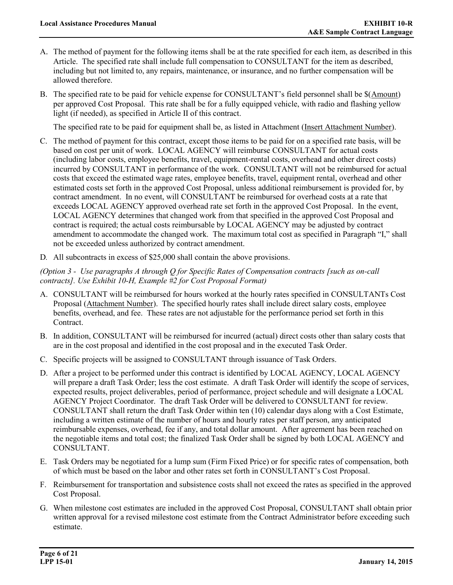- A. The method of payment for the following items shall be at the rate specified for each item, as described in this Article. The specified rate shall include full compensation to CONSULTANT for the item as described, including but not limited to, any repairs, maintenance, or insurance, and no further compensation will be allowed therefore.
- B. The specified rate to be paid for vehicle expense for CONSULTANT's field personnel shall be \$(Amount) per approved Cost Proposal. This rate shall be for a fully equipped vehicle, with radio and flashing yellow light (if needed), as specified in Article II of this contract.

The specified rate to be paid for equipment shall be, as listed in Attachment (Insert Attachment Number).

- C. The method of payment for this contract, except those items to be paid for on a specified rate basis, will be based on cost per unit of work. LOCAL AGENCY will reimburse CONSULTANT for actual costs (including labor costs, employee benefits, travel, equipment-rental costs, overhead and other direct costs) incurred by CONSULTANT in performance of the work. CONSULTANT will not be reimbursed for actual costs that exceed the estimated wage rates, employee benefits, travel, equipment rental, overhead and other estimated costs set forth in the approved Cost Proposal, unless additional reimbursement is provided for, by contract amendment. In no event, will CONSULTANT be reimbursed for overhead costs at a rate that exceeds LOCAL AGENCY approved overhead rate set forth in the approved Cost Proposal. In the event, LOCAL AGENCY determines that changed work from that specified in the approved Cost Proposal and contract is required; the actual costs reimbursable by LOCAL AGENCY may be adjusted by contract amendment to accommodate the changed work. The maximum total cost as specified in Paragraph "I," shall not be exceeded unless authorized by contract amendment.
- D*.* All subcontracts in excess of \$25,000 shall contain the above provisions.

*(Option 3 - Use paragraphs A through Q for Specific Rates of Compensation contracts [such as on-call contracts]. Use Exhibit 10-H, Example #2 for Cost Proposal Format)* 

- A. CONSULTANT will be reimbursed for hours worked at the hourly rates specified in CONSULTANTs Cost Proposal (Attachment Number). The specified hourly rates shall include direct salary costs, employee benefits, overhead, and fee. These rates are not adjustable for the performance period set forth in this Contract.
- B. In addition, CONSULTANT will be reimbursed for incurred (actual) direct costs other than salary costs that are in the cost proposal and identified in the cost proposal and in the executed Task Order.
- C. Specific projects will be assigned to CONSULTANT through issuance of Task Orders.
- D. After a project to be performed under this contract is identified by LOCAL AGENCY, LOCAL AGENCY will prepare a draft Task Order; less the cost estimate. A draft Task Order will identify the scope of services, expected results, project deliverables, period of performance, project schedule and will designate a LOCAL AGENCY Project Coordinator. The draft Task Order will be delivered to CONSULTANT for review. CONSULTANT shall return the draft Task Order within ten (10) calendar days along with a Cost Estimate, including a written estimate of the number of hours and hourly rates per staff person, any anticipated reimbursable expenses, overhead, fee if any, and total dollar amount. After agreement has been reached on the negotiable items and total cost; the finalized Task Order shall be signed by both LOCAL AGENCY and CONSULTANT.
- E. Task Orders may be negotiated for a lump sum (Firm Fixed Price) or for specific rates of compensation, both of which must be based on the labor and other rates set forth in CONSULTANT's Cost Proposal.
- F. Reimbursement for transportation and subsistence costs shall not exceed the rates as specified in the approved Cost Proposal.
- G. When milestone cost estimates are included in the approved Cost Proposal, CONSULTANT shall obtain prior written approval for a revised milestone cost estimate from the Contract Administrator before exceeding such estimate.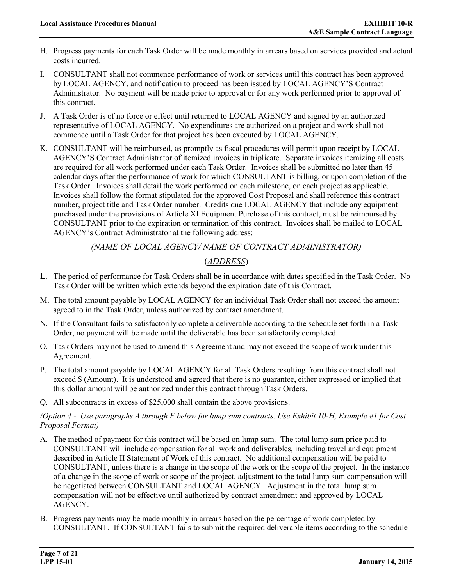- H. Progress payments for each Task Order will be made monthly in arrears based on services provided and actual costs incurred.
- I. CONSULTANT shall not commence performance of work or services until this contract has been approved by LOCAL AGENCY, and notification to proceed has been issued by LOCAL AGENCY'S Contract Administrator. No payment will be made prior to approval or for any work performed prior to approval of this contract.
- J. A Task Order is of no force or effect until returned to LOCAL AGENCY and signed by an authorized representative of LOCAL AGENCY. No expenditures are authorized on a project and work shall not commence until a Task Order for that project has been executed by LOCAL AGENCY.
- K. CONSULTANT will be reimbursed, as promptly as fiscal procedures will permit upon receipt by LOCAL AGENCY'S Contract Administrator of itemized invoices in triplicate. Separate invoices itemizing all costs are required for all work performed under each Task Order. Invoices shall be submitted no later than 45 calendar days after the performance of work for which CONSULTANT is billing, or upon completion of the Task Order. Invoices shall detail the work performed on each milestone, on each project as applicable. Invoices shall follow the format stipulated for the approved Cost Proposal and shall reference this contract number, project title and Task Order number. Credits due LOCAL AGENCY that include any equipment purchased under the provisions of Article XI Equipment Purchase of this contract, must be reimbursed by CONSULTANT prior to the expiration or termination of this contract. Invoices shall be mailed to LOCAL AGENCY's Contract Administrator at the following address:

# *(NAME OF LOCAL AGENCY/ NAME OF CONTRACT ADMINISTRATOR)* (*ADDRESS*)

- L. The period of performance for Task Orders shall be in accordance with dates specified in the Task Order. No Task Order will be written which extends beyond the expiration date of this Contract.
- M. The total amount payable by LOCAL AGENCY for an individual Task Order shall not exceed the amount agreed to in the Task Order, unless authorized by contract amendment.
- N. If the Consultant fails to satisfactorily complete a deliverable according to the schedule set forth in a Task Order, no payment will be made until the deliverable has been satisfactorily completed.
- O. Task Orders may not be used to amend this Agreement and may not exceed the scope of work under this Agreement.
- P. The total amount payable by LOCAL AGENCY for all Task Orders resulting from this contract shall not exceed \$ (Amount). It is understood and agreed that there is no guarantee, either expressed or implied that this dollar amount will be authorized under this contract through Task Orders.
- Q. All subcontracts in excess of \$25,000 shall contain the above provisions.

#### *(Option 4 - Use paragraphs A through F below for lump sum contracts. Use Exhibit 10-H, Example #1 for Cost Proposal Format)*

- A. The method of payment for this contract will be based on lump sum. The total lump sum price paid to CONSULTANT will include compensation for all work and deliverables, including travel and equipment described in Article II Statement of Work of this contract. No additional compensation will be paid to CONSULTANT, unless there is a change in the scope of the work or the scope of the project. In the instance of a change in the scope of work or scope of the project, adjustment to the total lump sum compensation will be negotiated between CONSULTANT and LOCAL AGENCY. Adjustment in the total lump sum compensation will not be effective until authorized by contract amendment and approved by LOCAL AGENCY.
- B. Progress payments may be made monthly in arrears based on the percentage of work completed by CONSULTANT. If CONSULTANT fails to submit the required deliverable items according to the schedule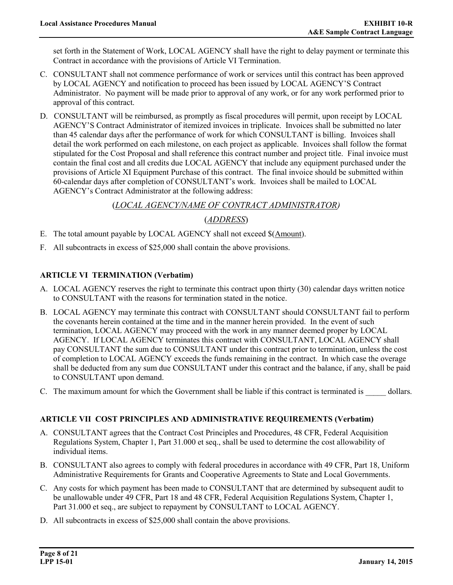set forth in the Statement of Work, LOCAL AGENCY shall have the right to delay payment or terminate this Contract in accordance with the provisions of Article VI Termination.

- C. CONSULTANT shall not commence performance of work or services until this contract has been approved by LOCAL AGENCY and notification to proceed has been issued by LOCAL AGENCY'S Contract Administrator. No payment will be made prior to approval of any work, or for any work performed prior to approval of this contract.
- D. CONSULTANT will be reimbursed, as promptly as fiscal procedures will permit, upon receipt by LOCAL AGENCY'S Contract Administrator of itemized invoices in triplicate. Invoices shall be submitted no later than 45 calendar days after the performance of work for which CONSULTANT is billing. Invoices shall detail the work performed on each milestone, on each project as applicable. Invoices shall follow the format stipulated for the Cost Proposal and shall reference this contract number and project title. Final invoice must contain the final cost and all credits due LOCAL AGENCY that include any equipment purchased under the provisions of Article XI Equipment Purchase of this contract. The final invoice should be submitted within 60-calendar days after completion of CONSULTANT's work. Invoices shall be mailed to LOCAL AGENCY's Contract Administrator at the following address:

## (*LOCAL AGENCY/NAME OF CONTRACT ADMINISTRATOR)*

## (*ADDRESS*)

- E. The total amount payable by LOCAL AGENCY shall not exceed \$(Amount).
- F. All subcontracts in excess of \$25,000 shall contain the above provisions.

## **ARTICLE VI TERMINATION (Verbatim)**

- A. LOCAL AGENCY reserves the right to terminate this contract upon thirty (30) calendar days written notice to CONSULTANT with the reasons for termination stated in the notice.
- B. LOCAL AGENCY may terminate this contract with CONSULTANT should CONSULTANT fail to perform the covenants herein contained at the time and in the manner herein provided. In the event of such termination, LOCAL AGENCY may proceed with the work in any manner deemed proper by LOCAL AGENCY. If LOCAL AGENCY terminates this contract with CONSULTANT, LOCAL AGENCY shall pay CONSULTANT the sum due to CONSULTANT under this contract prior to termination, unless the cost of completion to LOCAL AGENCY exceeds the funds remaining in the contract. In which case the overage shall be deducted from any sum due CONSULTANT under this contract and the balance, if any, shall be paid to CONSULTANT upon demand.
- C. The maximum amount for which the Government shall be liable if this contract is terminated is dollars.

## **ARTICLE VII COST PRINCIPLES AND ADMINISTRATIVE REQUIREMENTS (Verbatim)**

- A. CONSULTANT agrees that the Contract Cost Principles and Procedures, 48 CFR, Federal Acquisition Regulations System, Chapter 1, Part 31.000 et seq., shall be used to determine the cost allowability of individual items.
- B. CONSULTANT also agrees to comply with federal procedures in accordance with 49 CFR, Part 18, Uniform Administrative Requirements for Grants and Cooperative Agreements to State and Local Governments.
- C. Any costs for which payment has been made to CONSULTANT that are determined by subsequent audit to be unallowable under 49 CFR, Part 18 and 48 CFR, Federal Acquisition Regulations System, Chapter 1, Part 31.000 et seq., are subject to repayment by CONSULTANT to LOCAL AGENCY.
- D. All subcontracts in excess of \$25,000 shall contain the above provisions.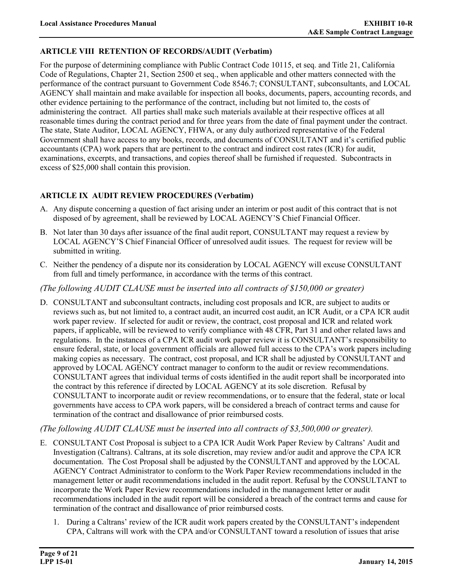## **ARTICLE VIII RETENTION OF RECORDS/AUDIT (Verbatim)**

For the purpose of determining compliance with Public Contract Code 10115, et seq. and Title 21, California Code of Regulations, Chapter 21, Section 2500 et seq., when applicable and other matters connected with the performance of the contract pursuant to Government Code 8546.7; CONSULTANT, subconsultants, and LOCAL AGENCY shall maintain and make available for inspection all books, documents, papers, accounting records, and other evidence pertaining to the performance of the contract, including but not limited to, the costs of administering the contract. All parties shall make such materials available at their respective offices at all reasonable times during the contract period and for three years from the date of final payment under the contract. The state, State Auditor, LOCAL AGENCY, FHWA, or any duly authorized representative of the Federal Government shall have access to any books, records, and documents of CONSULTANT and it's certified public accountants (CPA) work papers that are pertinent to the contract and indirect cost rates (ICR) for audit, examinations, excerpts, and transactions, and copies thereof shall be furnished if requested. Subcontracts in excess of \$25,000 shall contain this provision.

## **ARTICLE IX AUDIT REVIEW PROCEDURES (Verbatim)**

- A. Any dispute concerning a question of fact arising under an interim or post audit of this contract that is not disposed of by agreement, shall be reviewed by LOCAL AGENCY'S Chief Financial Officer.
- B. Not later than 30 days after issuance of the final audit report, CONSULTANT may request a review by LOCAL AGENCY'S Chief Financial Officer of unresolved audit issues. The request for review will be submitted in writing.
- C. Neither the pendency of a dispute nor its consideration by LOCAL AGENCY will excuse CONSULTANT from full and timely performance, in accordance with the terms of this contract.

## *(The following AUDIT CLAUSE must be inserted into all contracts of \$150,000 or greater)*

D. CONSULTANT and subconsultant contracts, including cost proposals and ICR, are subject to audits or reviews such as, but not limited to, a contract audit, an incurred cost audit, an ICR Audit, or a CPA ICR audit work paper review. If selected for audit or review, the contract, cost proposal and ICR and related work papers, if applicable, will be reviewed to verify compliance with 48 CFR, Part 31 and other related laws and regulations. In the instances of a CPA ICR audit work paper review it is CONSULTANT's responsibility to ensure federal, state, or local government officials are allowed full access to the CPA's work papers including making copies as necessary. The contract, cost proposal, and ICR shall be adjusted by CONSULTANT and approved by LOCAL AGENCY contract manager to conform to the audit or review recommendations. CONSULTANT agrees that individual terms of costs identified in the audit report shall be incorporated into the contract by this reference if directed by LOCAL AGENCY at its sole discretion. Refusal by CONSULTANT to incorporate audit or review recommendations, or to ensure that the federal, state or local governments have access to CPA work papers, will be considered a breach of contract terms and cause for termination of the contract and disallowance of prior reimbursed costs.

## *(The following AUDIT CLAUSE must be inserted into all contracts of \$3,500,000 or greater).*

- E. CONSULTANT Cost Proposal is subject to a CPA ICR Audit Work Paper Review by Caltrans' Audit and Investigation (Caltrans). Caltrans, at its sole discretion, may review and/or audit and approve the CPA ICR documentation. The Cost Proposal shall be adjusted by the CONSULTANT and approved by the LOCAL AGENCY Contract Administrator to conform to the Work Paper Review recommendations included in the management letter or audit recommendations included in the audit report. Refusal by the CONSULTANT to incorporate the Work Paper Review recommendations included in the management letter or audit recommendations included in the audit report will be considered a breach of the contract terms and cause for termination of the contract and disallowance of prior reimbursed costs.
	- 1. During a Caltrans' review of the ICR audit work papers created by the CONSULTANT's independent CPA, Caltrans will work with the CPA and/or CONSULTANT toward a resolution of issues that arise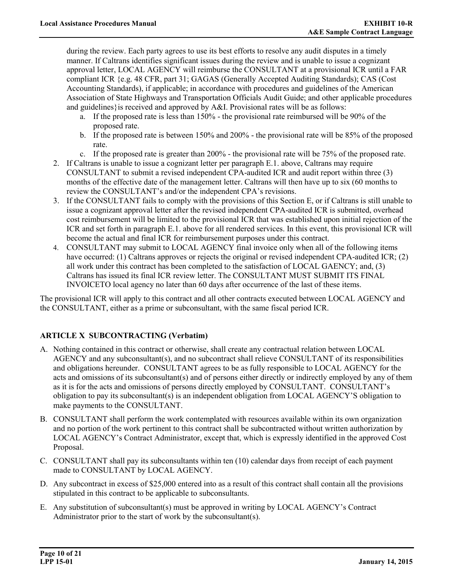during the review. Each party agrees to use its best efforts to resolve any audit disputes in a timely manner. If Caltrans identifies significant issues during the review and is unable to issue a cognizant approval letter, LOCAL AGENCY will reimburse the CONSULTANT at a provisional ICR until a FAR compliant ICR {e.g. 48 CFR, part 31; GAGAS (Generally Accepted Auditing Standards); CAS (Cost Accounting Standards), if applicable; in accordance with procedures and guidelines of the American Association of State Highways and Transportation Officials Audit Guide; and other applicable procedures and guidelines}is received and approved by A&I. Provisional rates will be as follows:

- a. If the proposed rate is less than 150% the provisional rate reimbursed will be 90% of the proposed rate.
- b. If the proposed rate is between 150% and 200% the provisional rate will be 85% of the proposed rate.
- c. If the proposed rate is greater than 200% the provisional rate will be 75% of the proposed rate.
- 2. If Caltrans is unable to issue a cognizant letter per paragraph E.1. above, Caltrans may require CONSULTANT to submit a revised independent CPA-audited ICR and audit report within three (3) months of the effective date of the management letter. Caltrans will then have up to six (60 months to review the CONSULTANT's and/or the independent CPA's revisions.
- 3. If the CONSULTANT fails to comply with the provisions of this Section E, or if Caltrans is still unable to issue a cognizant approval letter after the revised independent CPA-audited ICR is submitted, overhead cost reimbursement will be limited to the provisional ICR that was established upon initial rejection of the ICR and set forth in paragraph E.1. above for all rendered services. In this event, this provisional ICR will become the actual and final ICR for reimbursement purposes under this contract.
- 4. CONSULTANT may submit to LOCAL AGENCY final invoice only when all of the following items have occurred: (1) Caltrans approves or rejects the original or revised independent CPA-audited ICR; (2) all work under this contract has been completed to the satisfaction of LOCAL GAENCY; and, (3) Caltrans has issued its final ICR review letter. The CONSULTANT MUST SUBMIT ITS FINAL INVOICETO local agency no later than 60 days after occurrence of the last of these items.

The provisional ICR will apply to this contract and all other contracts executed between LOCAL AGENCY and the CONSULTANT, either as a prime or subconsultant, with the same fiscal period ICR.

# **ARTICLE X SUBCONTRACTING (Verbatim)**

- A. Nothing contained in this contract or otherwise, shall create any contractual relation between LOCAL AGENCY and any subconsultant(s), and no subcontract shall relieve CONSULTANT of its responsibilities and obligations hereunder. CONSULTANT agrees to be as fully responsible to LOCAL AGENCY for the acts and omissions of its subconsultant(s) and of persons either directly or indirectly employed by any of them as it is for the acts and omissions of persons directly employed by CONSULTANT. CONSULTANT's obligation to pay its subconsultant(s) is an independent obligation from LOCAL AGENCY'S obligation to make payments to the CONSULTANT.
- B. CONSULTANT shall perform the work contemplated with resources available within its own organization and no portion of the work pertinent to this contract shall be subcontracted without written authorization by LOCAL AGENCY's Contract Administrator, except that, which is expressly identified in the approved Cost Proposal.
- C. CONSULTANT shall pay its subconsultants within ten (10) calendar days from receipt of each payment made to CONSULTANT by LOCAL AGENCY.
- D. Any subcontract in excess of \$25,000 entered into as a result of this contract shall contain all the provisions stipulated in this contract to be applicable to subconsultants.
- E. Any substitution of subconsultant(s) must be approved in writing by LOCAL AGENCY's Contract Administrator prior to the start of work by the subconsultant(s).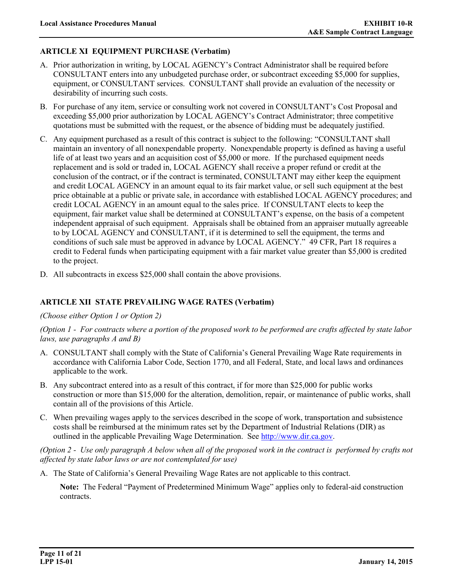# **ARTICLE XI EQUIPMENT PURCHASE (Verbatim)**

- A. Prior authorization in writing, by LOCAL AGENCY's Contract Administrator shall be required before CONSULTANT enters into any unbudgeted purchase order, or subcontract exceeding \$5,000 for supplies, equipment, or CONSULTANT services. CONSULTANT shall provide an evaluation of the necessity or desirability of incurring such costs.
- B. For purchase of any item, service or consulting work not covered in CONSULTANT's Cost Proposal and exceeding \$5,000 prior authorization by LOCAL AGENCY's Contract Administrator; three competitive quotations must be submitted with the request, or the absence of bidding must be adequately justified.
- C. Any equipment purchased as a result of this contract is subject to the following: "CONSULTANT shall maintain an inventory of all nonexpendable property. Nonexpendable property is defined as having a useful life of at least two years and an acquisition cost of \$5,000 or more. If the purchased equipment needs replacement and is sold or traded in, LOCAL AGENCY shall receive a proper refund or credit at the conclusion of the contract, or if the contract is terminated, CONSULTANT may either keep the equipment and credit LOCAL AGENCY in an amount equal to its fair market value, or sell such equipment at the best price obtainable at a public or private sale, in accordance with established LOCAL AGENCY procedures; and credit LOCAL AGENCY in an amount equal to the sales price. If CONSULTANT elects to keep the equipment, fair market value shall be determined at CONSULTANT's expense, on the basis of a competent independent appraisal of such equipment. Appraisals shall be obtained from an appraiser mutually agreeable to by LOCAL AGENCY and CONSULTANT, if it is determined to sell the equipment, the terms and conditions of such sale must be approved in advance by LOCAL AGENCY." 49 CFR, Part 18 requires a credit to Federal funds when participating equipment with a fair market value greater than \$5,000 is credited to the project.
- D. All subcontracts in excess \$25,000 shall contain the above provisions.

## **ARTICLE XII STATE PREVAILING WAGE RATES (Verbatim)**

#### *(Choose either Option 1 or Option 2)*

*(Option 1 - For contracts where a portion of the proposed work to be performed are crafts affected by state labor laws, use paragraphs A and B)* 

- A. CONSULTANT shall comply with the State of California's General Prevailing Wage Rate requirements in accordance with California Labor Code, Section 1770, and all Federal, State, and local laws and ordinances applicable to the work.
- B. Any subcontract entered into as a result of this contract, if for more than \$25,000 for public works construction or more than \$15,000 for the alteration, demolition, repair, or maintenance of public works, shall contain all of the provisions of this Article.
- C. When prevailing wages apply to the services described in the scope of work, transportation and subsistence costs shall be reimbursed at the minimum rates set by the Department of Industrial Relations (DIR) as outlined in the applicable Prevailing Wage Determination. See [http://www.dir.ca.gov.](http://www.dir.ca.gov/)

*(Option 2 - Use only paragraph A below when all of the proposed work in the contract is performed by crafts not affected by state labor laws or are not contemplated for use)* 

A. The State of California's General Prevailing Wage Rates are not applicable to this contract.

**Note:** The Federal "Payment of Predetermined Minimum Wage" applies only to federal-aid construction contracts.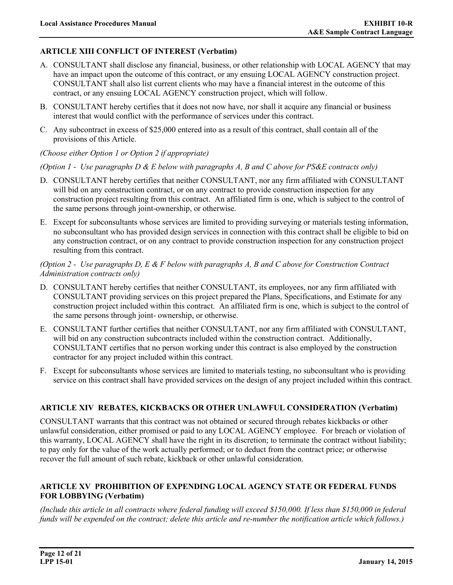# **ARTICLE XIII CONFLICT OF INTEREST (Verbatim)**

- A. CONSULTANT shall disclose any financial, business, or other relationship with LOCAL AGENCY that may have an impact upon the outcome of this contract, or any ensuing LOCAL AGENCY construction project. CONSULTANT shall also list current clients who may have a financial interest in the outcome of this contract, or any ensuing LOCAL AGENCY construction project, which will follow.
- B. CONSULTANT hereby certifies that it does not now have, nor shall it acquire any financial or business interest that would conflict with the performance of services under this contract.
- C. Any subcontract in excess of \$25,000 entered into as a result of this contract, shall contain all of the provisions of this Article.
- *(Choose either Option 1 or Option 2 if appropriate)*

#### *(Option 1 - Use paragraphs D & E below with paragraphs A, B and C above for PS&E contracts only)*

- D. CONSULTANT hereby certifies that neither CONSULTANT, nor any firm affiliated with CONSULTANT will bid on any construction contract, or on any contract to provide construction inspection for any construction project resulting from this contract. An affiliated firm is one, which is subject to the control of the same persons through joint-ownership, or otherwise.
- E. Except for subconsultants whose services are limited to providing surveying or materials testing information, no subconsultant who has provided design services in connection with this contract shall be eligible to bid on any construction contract, or on any contract to provide construction inspection for any construction project resulting from this contract.

*(Option 2 - Use paragraphs D, E & F below with paragraphs A, B and C above for Construction Contract Administration contracts only)* 

- D. CONSULTANT hereby certifies that neither CONSULTANT, its employees, nor any firm affiliated with CONSULTANT providing services on this project prepared the Plans, Specifications, and Estimate for any construction project included within this contract. An affiliated firm is one, which is subject to the control of the same persons through joint- ownership, or otherwise.
- E. CONSULTANT further certifies that neither CONSULTANT, nor any firm affiliated with CONSULTANT, will bid on any construction subcontracts included within the construction contract. Additionally, CONSULTANT certifies that no person working under this contract is also employed by the construction contractor for any project included within this contract.
- F. Except for subconsultants whose services are limited to materials testing, no subconsultant who is providing service on this contract shall have provided services on the design of any project included within this contract.

#### **ARTICLE XIV REBATES, KICKBACKS OR OTHER UNLAWFUL CONSIDERATION (Verbatim)**

CONSULTANT warrants that this contract was not obtained or secured through rebates kickbacks or other unlawful consideration, either promised or paid to any LOCAL AGENCY employee. For breach or violation of this warranty, LOCAL AGENCY shall have the right in its discretion; to terminate the contract without liability; to pay only for the value of the work actually performed; or to deduct from the contract price; or otherwise recover the full amount of such rebate, kickback or other unlawful consideration.

#### **ARTICLE XV PROHIBITION OF EXPENDING LOCAL AGENCY STATE OR FEDERAL FUNDS FOR LOBBYING (Verbatim)**

*(Include this article in all contracts where federal funding will exceed \$150,000. If less than \$150,000 in federal funds will be expended on the contract; delete this article and re-number the notification article which follows.)*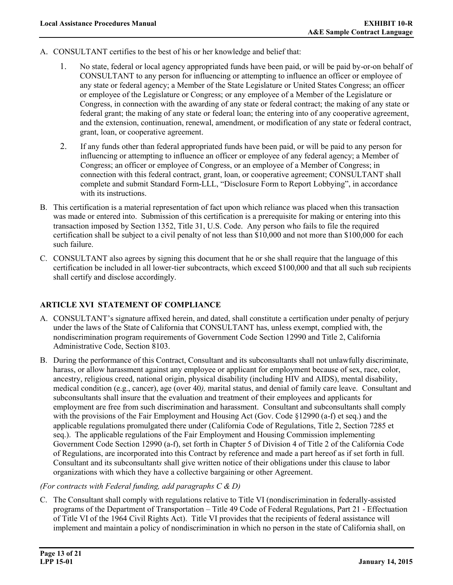- A. CONSULTANT certifies to the best of his or her knowledge and belief that:
	- 1. No state, federal or local agency appropriated funds have been paid, or will be paid by-or-on behalf of CONSULTANT to any person for influencing or attempting to influence an officer or employee of any state or federal agency; a Member of the State Legislature or United States Congress; an officer or employee of the Legislature or Congress; or any employee of a Member of the Legislature or Congress, in connection with the awarding of any state or federal contract; the making of any state or federal grant; the making of any state or federal loan; the entering into of any cooperative agreement, and the extension, continuation, renewal, amendment, or modification of any state or federal contract, grant, loan, or cooperative agreement.
	- 2. If any funds other than federal appropriated funds have been paid, or will be paid to any person for influencing or attempting to influence an officer or employee of any federal agency; a Member of Congress; an officer or employee of Congress, or an employee of a Member of Congress; in connection with this federal contract, grant, loan, or cooperative agreement; CONSULTANT shall complete and submit Standard Form-LLL, "Disclosure Form to Report Lobbying", in accordance with its instructions.
- B. This certification is a material representation of fact upon which reliance was placed when this transaction was made or entered into. Submission of this certification is a prerequisite for making or entering into this transaction imposed by Section 1352, Title 31, U.S. Code. Any person who fails to file the required certification shall be subject to a civil penalty of not less than \$10,000 and not more than \$100,000 for each such failure.
- C. CONSULTANT also agrees by signing this document that he or she shall require that the language of this certification be included in all lower-tier subcontracts, which exceed \$100,000 and that all such sub recipients shall certify and disclose accordingly.

## **ARTICLE XVI STATEMENT OF COMPLIANCE**

- A. CONSULTANT's signature affixed herein, and dated, shall constitute a certification under penalty of perjury under the laws of the State of California that CONSULTANT has, unless exempt, complied with, the nondiscrimination program requirements of Government Code Section 12990 and Title 2, California Administrative Code, Section 8103.
- B. During the performance of this Contract, Consultant and its subconsultants shall not unlawfully discriminate, harass, or allow harassment against any employee or applicant for employment because of sex, race, color, ancestry, religious creed, national origin, physical disability (including HIV and AIDS), mental disability, medical condition (e.g., cancer), age (over 40*),* marital status, and denial of family care leave. Consultant and subconsultants shall insure that the evaluation and treatment of their employees and applicants for employment are free from such discrimination and harassment. Consultant and subconsultants shall comply with the provisions of the Fair Employment and Housing Act (Gov. Code §12990 (a-f) et seq.) and the applicable regulations promulgated there under (California Code of Regulations, Title 2, Section 7285 et seq.). The applicable regulations of the Fair Employment and Housing Commission implementing Government Code Section 12990 (a-f), set forth in Chapter 5 of Division 4 of Title 2 of the California Code of Regulations, are incorporated into this Contract by reference and made a part hereof as if set forth in full. Consultant and its subconsultant*s* shall give written notice of their obligations under this clause to labor organizations with which they have a collective bargaining or other Agreement.

## *(For contracts with Federal funding, add paragraphs C & D)*

C. The Consultant shall comply with regulations relative to Title VI (nondiscrimination in federally-assisted programs of the Department of Transportation – Title 49 Code of Federal Regulations, Part 21 - Effectuation of Title VI of the 1964 Civil Rights Act). Title VI provides that the recipients of federal assistance will implement and maintain a policy of nondiscrimination in which no person in the state of California shall, on